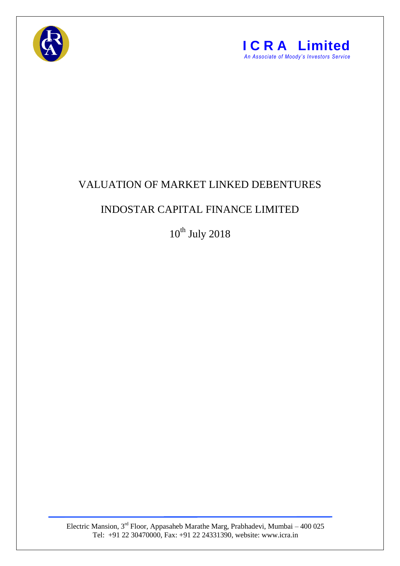



## VALUATION OF MARKET LINKED DEBENTURES

## INDOSTAR CAPITAL FINANCE LIMITED

 $10^{th}$  July 2018

Electric Mansion, 3<sup>rd</sup> Floor, Appasaheb Marathe Marg, Prabhadevi, Mumbai – 400 025 Tel: +91 22 30470000, Fax: +91 22 24331390, website: www.icra.in